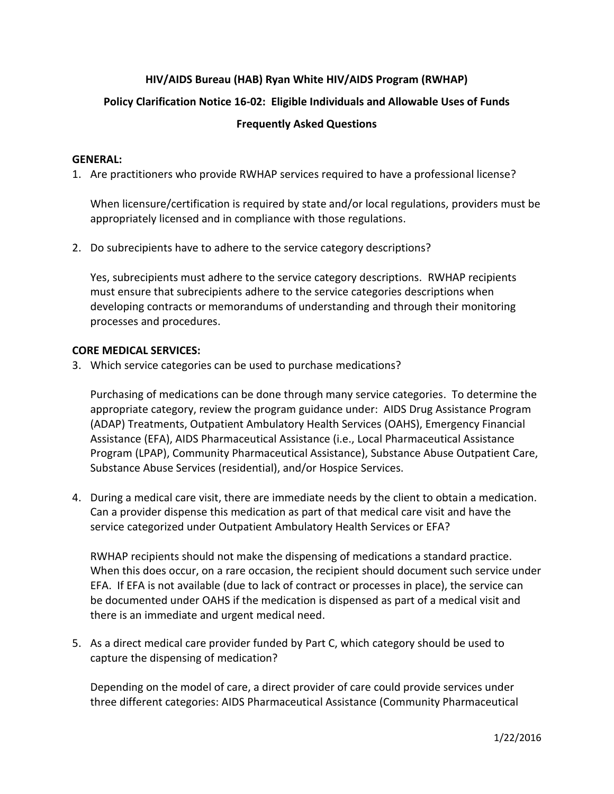## **HIV/AIDS Bureau (HAB) Ryan White HIV/AIDS Program (RWHAP)**

# **Policy Clarification Notice 16-02: Eligible Individuals and Allowable Uses of Funds**

## **Frequently Asked Questions**

### **GENERAL:**

1. Are practitioners who provide RWHAP services required to have a professional license?

When licensure/certification is required by state and/or local regulations, providers must be appropriately licensed and in compliance with those regulations.

2. Do subrecipients have to adhere to the service category descriptions?

Yes, subrecipients must adhere to the service category descriptions. RWHAP recipients must ensure that subrecipients adhere to the service categories descriptions when developing contracts or memorandums of understanding and through their monitoring processes and procedures.

### **CORE MEDICAL SERVICES:**

3. Which service categories can be used to purchase medications?

Purchasing of medications can be done through many service categories. To determine the appropriate category, review the program guidance under: AIDS Drug Assistance Program (ADAP) Treatments, Outpatient Ambulatory Health Services (OAHS), Emergency Financial Assistance (EFA), AIDS Pharmaceutical Assistance (i.e., Local Pharmaceutical Assistance Program (LPAP), Community Pharmaceutical Assistance), Substance Abuse Outpatient Care, Substance Abuse Services (residential), and/or Hospice Services.

4. During a medical care visit, there are immediate needs by the client to obtain a medication. Can a provider dispense this medication as part of that medical care visit and have the service categorized under Outpatient Ambulatory Health Services or EFA?

RWHAP recipients should not make the dispensing of medications a standard practice. When this does occur, on a rare occasion, the recipient should document such service under EFA. If EFA is not available (due to lack of contract or processes in place), the service can be documented under OAHS if the medication is dispensed as part of a medical visit and there is an immediate and urgent medical need.

5. As a direct medical care provider funded by Part C, which category should be used to capture the dispensing of medication?

Depending on the model of care, a direct provider of care could provide services under three different categories: AIDS Pharmaceutical Assistance (Community Pharmaceutical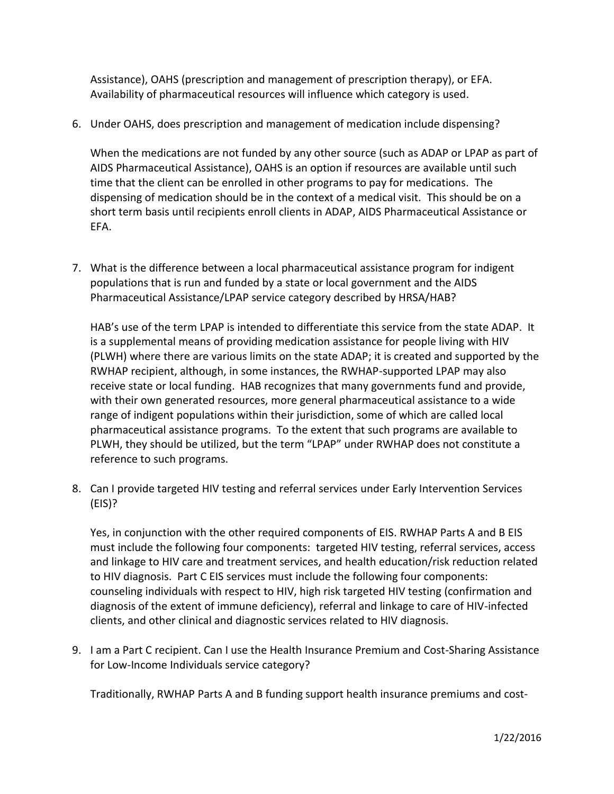Assistance), OAHS (prescription and management of prescription therapy), or EFA. Availability of pharmaceutical resources will influence which category is used.

6. Under OAHS, does prescription and management of medication include dispensing?

When the medications are not funded by any other source (such as ADAP or LPAP as part of AIDS Pharmaceutical Assistance), OAHS is an option if resources are available until such time that the client can be enrolled in other programs to pay for medications. The dispensing of medication should be in the context of a medical visit. This should be on a short term basis until recipients enroll clients in ADAP, AIDS Pharmaceutical Assistance or EFA.

7. What is the difference between a local pharmaceutical assistance program for indigent populations that is run and funded by a state or local government and the AIDS Pharmaceutical Assistance/LPAP service category described by HRSA/HAB?

HAB's use of the term LPAP is intended to differentiate this service from the state ADAP. It is a supplemental means of providing medication assistance for people living with HIV (PLWH) where there are various limits on the state ADAP; it is created and supported by the RWHAP recipient, although, in some instances, the RWHAP-supported LPAP may also receive state or local funding. HAB recognizes that many governments fund and provide, with their own generated resources, more general pharmaceutical assistance to a wide range of indigent populations within their jurisdiction, some of which are called local pharmaceutical assistance programs. To the extent that such programs are available to PLWH, they should be utilized, but the term "LPAP" under RWHAP does not constitute a reference to such programs.

8. Can I provide targeted HIV testing and referral services under Early Intervention Services (EIS)?

Yes, in conjunction with the other required components of EIS. RWHAP Parts A and B EIS must include the following four components: targeted HIV testing, referral services, access and linkage to HIV care and treatment services, and health education/risk reduction related to HIV diagnosis. Part C EIS services must include the following four components: counseling individuals with respect to HIV, high risk targeted HIV testing (confirmation and diagnosis of the extent of immune deficiency), referral and linkage to care of HIV-infected clients, and other clinical and diagnostic services related to HIV diagnosis.

9. I am a Part C recipient. Can I use the Health Insurance Premium and Cost-Sharing Assistance for Low-Income Individuals service category?

Traditionally, RWHAP Parts A and B funding support health insurance premiums and cost-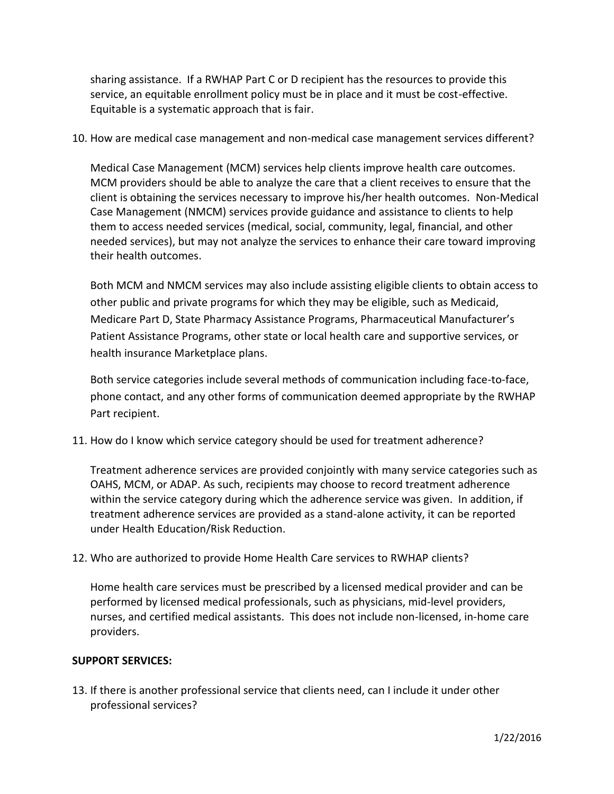sharing assistance. If a RWHAP Part C or D recipient has the resources to provide this service, an equitable enrollment policy must be in place and it must be cost-effective. Equitable is a systematic approach that is fair.

10. How are medical case management and non-medical case management services different?

Medical Case Management (MCM) services help clients improve health care outcomes. MCM providers should be able to analyze the care that a client receives to ensure that the client is obtaining the services necessary to improve his/her health outcomes. Non-Medical Case Management (NMCM) services provide guidance and assistance to clients to help them to access needed services (medical, social, community, legal, financial, and other needed services), but may not analyze the services to enhance their care toward improving their health outcomes.

Both MCM and NMCM services may also include assisting eligible clients to obtain access to other public and private programs for which they may be eligible, such as Medicaid, Medicare Part D, State Pharmacy Assistance Programs, Pharmaceutical Manufacturer's Patient Assistance Programs, other state or local health care and supportive services, or health insurance Marketplace plans.

Both service categories include several methods of communication including face-to-face, phone contact, and any other forms of communication deemed appropriate by the RWHAP Part recipient.

11. How do I know which service category should be used for treatment adherence?

Treatment adherence services are provided conjointly with many service categories such as OAHS, MCM, or ADAP. As such, recipients may choose to record treatment adherence within the service category during which the adherence service was given. In addition, if treatment adherence services are provided as a stand-alone activity, it can be reported under Health Education/Risk Reduction.

12. Who are authorized to provide Home Health Care services to RWHAP clients?

Home health care services must be prescribed by a licensed medical provider and can be performed by licensed medical professionals, such as physicians, mid-level providers, nurses, and certified medical assistants. This does not include non-licensed, in-home care providers.

#### **SUPPORT SERVICES:**

13. If there is another professional service that clients need, can I include it under other professional services?